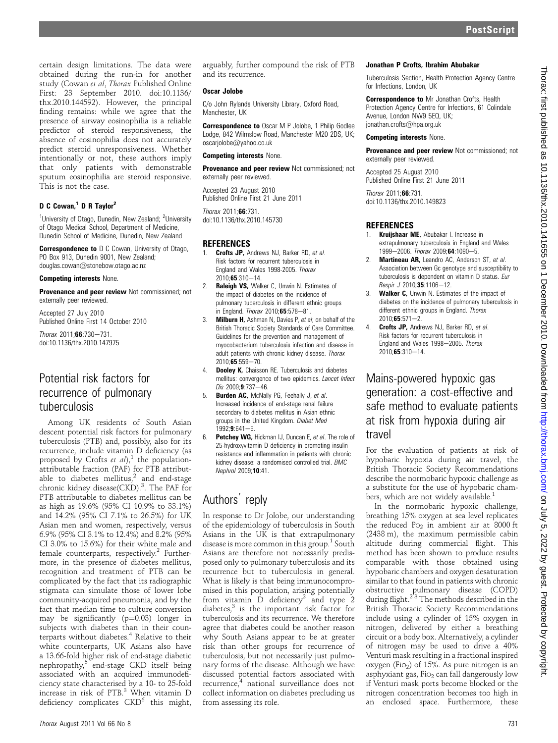certain design limitations. The data were obtained during the run-in for another study (Cowan et al, Thorax Published Online First: 23 September 2010. doi:10.1136/ thx.2010.144592). However, the principal finding remains: while we agree that the presence of airway eosinophilia is a reliable predictor of steroid responsiveness, the absence of eosinophilia does not accurately predict steroid unresponsiveness. Whether intentionally or not, these authors imply that only patients with demonstrable sputum eosinophilia are steroid responsive. This is not the case.

# D C Cowan,<sup>1</sup> D R Taylor<sup>2</sup>

<sup>1</sup>University of Otago, Dunedin, New Zealand; <sup>2</sup>University of Otago Medical School, Department of Medicine, Dunedin School of Medicine, Dunedin, New Zealand

**Correspondence to** D C Cowan, University of Otago, PO Box 913, Dunedin 9001, New Zealand; douglas.cowan@stonebow.otago.ac.nz

#### Competing interests None.

Provenance and peer review Not commissioned; not externally peer reviewed.

Accepted 27 July 2010 Published Online First 14 October 2010

 $Thorax 2011:66:730-731.$ doi:10.1136/thx.2010.147975

# Potential risk factors for recurrence of pulmonary tuberculosis

Among UK residents of South Asian descent potential risk factors for pulmonary tuberculosis (PTB) and, possibly, also for its recurrence, include vitamin D deficiency (as proposed by Crofts et  $aI$ <sup>1</sup>, the populationattributable fraction (PAF) for PTB attributable to diabetes mellitus, $2$  and end-stage chronic kidney disease(CKD).<sup>3</sup>. The PAF for PTB attributable to diabetes mellitus can be as high as 19.6% (95% CI 10.9% to 33.1%) and 14.2% (95% CI 7.1% to 26.5%) for UK Asian men and women, respectively, versus 6.9% (95% CI 3.1% to 12.4%) and 8.2% (95% CI 3.0% to 15.6%) for their white male and female counterparts, respectively.<sup>2</sup> Furthermore, in the presence of diabetes mellitus, recognition and treatment of PTB can be complicated by the fact that its radiographic stigmata can simulate those of lower lobe community-acquired pneumonia, and by the fact that median time to culture conversion may be significantly  $(p=0.03)$  longer in subjects with diabetes than in their counterparts without diabetes.<sup>4</sup> Relative to their white counterparts, UK Asians also have a 13.66-fold higher risk of end-stage diabetic nephropathy, $5$  end-stage CKD itself being associated with an acquired immunodeficiency state characterised by a 10- to 25-fold increase in risk of PTB.3 When vitamin D deficiency complicates  $\mathrm{CKD}^6$  this might,

arguably, further compound the risk of PTB and its recurrence.

#### Oscar Jolobe

C/o John Rylands University Library, Oxford Road, Manchester, UK

Correspondence to Oscar M P Jolobe, 1 Philip Godlee Lodge, 842 Wilmslow Road, Manchester M20 2DS, UK; oscarjolobe@yahoo.co.uk

#### Competing interests None.

**Provenance and peer review Not commissioned; not** externally peer reviewed.

Accepted 23 August 2010 Published Online First 21 June 2011

Thorax 2011;66:731. doi:10.1136/thx.2010.145730

# **REFERENCES**

- 1. **Crofts JP, Andrews NJ, Barker RD, et al.** Risk factors for recurrent tuberculosis in England and Wales 1998-2005. Thorax  $2010:65:310-14.$
- 2. Raleigh VS, Walker C, Unwin N. Estimates of the impact of diabetes on the incidence of pulmonary tuberculosis in different ethnic groups in England. Thorax  $2010:65:578-81$ .
- **Milburn H,** Ashman N, Davies P, et al; on behalf of the British Thoracic Society Standards of Care Committee. Guidelines for the prevention and management of myocobacterium tuberculosis infection and disease in adult patients with chronic kidney disease. Thorax  $2010:65:559 - 70.$
- 4. **Dooley K,** Chaisson RE. Tuberculosis and diabetes mellitus: convergence of two epidemics. Lancet Infect  $Dis 2009:9:737-46.$
- 5. **Burden AC, McNally PG, Feehally J, et al.** Increased incidence of end-stage renal failure secondary to diabetes mellitus in Asian ethnic groups in the United Kingdom. Diabet Med  $1992:9:641-5.$
- 6. Petchey WG, Hickman IJ, Duncan E, et al. The role of 25-hydroxyvitamin D deficiency in promoting insulin resistance and inflammation in patients with chronic kidney disease: a randomised controlled trial. BMC Nephrol 2009;10:41.

# Authors reply

In response to Dr Jolobe, our understanding of the epidemiology of tuberculosis in South Asians in the UK is that extrapulmonary disease is more common in this group.<sup>1</sup> South Asians are therefore not necessarily predisposed only to pulmonary tuberculosis and its recurrence but to tuberculosis in general. What is likely is that being immunocompromised in this population, arising potentially from vitamin  $\overrightarrow{D}$  deficiency<sup>2</sup> and type 2 diabetes, $3$  is the important risk factor for tuberculosis and its recurrence. We therefore agree that diabetes could be another reason why South Asians appear to be at greater risk than other groups for recurrence of tuberculosis, but not necessarily just pulmonary forms of the disease. Although we have discussed potential factors associated with recurrence,<sup>4</sup> national surveillance does not collect information on diabetes precluding us from assessing its role.

#### Jonathan P Crofts, Ibrahim Abubakar

Tuberculosis Section, Health Protection Agency Centre for Infections, London, UK

**Correspondence to Mr Jonathan Crofts, Health** Protection Agency Centre for Infections, 61 Colindale Avenue, London NW9 5EQ, UK; jonathan.crofts@hpa.org.uk

### Competing interests None.

**Provenance and peer review Not commissioned; not** externally peer reviewed.

Accepted 25 August 2010 Published Online First 21 June 2011

Thorax 2011;66:731. doi:10.1136/thx.2010.149823

# **REFERENCES**

- Kruijshaar ME, Abubakar I. Increase in extrapulmonary tuberculosis in England and Wales 1999-2006. Thorax 2009;64:1090-5.
- 2. Martineau AR, Leandro AC, Anderson ST, et al. Association between Gc genotype and susceptibility to tuberculosis is dependent on vitamin D status. Eur Respir J 2010;35:1106-12.
- 3. Walker C, Unwin N. Estimates of the impact of diabetes on the incidence of pulmonary tuberculosis in different ethnic groups in England. Thorax  $2010:65:571-2.$
- 4. **Crofts JP, Andrews NJ, Barker RD, et al.** Risk factors for recurrent tuberculosis in England and Wales 1998-2005. Thorax  $2010 \cdot 65 \cdot 310 - 14$

Mains-powered hypoxic gas generation: a cost-effective and safe method to evaluate patients at risk from hypoxia during air travel

For the evaluation of patients at risk of hypobaric hypoxia during air travel, the British Thoracic Society Recommendations describe the normobaric hypoxic challenge as a substitute for the use of hypobaric chambers, which are not widely available.<sup>1</sup>

In the normobaric hypoxic challenge, breathing 15% oxygen at sea level replicates the reduced  $P_{O_2}$  in ambient air at 8000 ft (2438 m), the maximum permissible cabin altitude during commercial flight. This method has been shown to produce results comparable with those obtained using hypobaric chambers and oxygen desaturation similar to that found in patients with chronic obstructive pulmonary disease (COPD)<br>during flight.<sup>23</sup> The methods described in the British Thoracic Society Recommendations include using a cylinder of 15% oxygen in nitrogen, delivered by either a breathing circuit or a body box. Alternatively, a cylinder of nitrogen may be used to drive a 40% Venturi mask resulting in a fractional inspired oxygen (Fi $_{2}$ ) of 15%. As pure nitrogen is an asphyxiant gas, Fio<sub>2</sub> can fall dangerously low if Venturi mask ports become blocked or the nitrogen concentration becomes too high in an enclosed space. Furthermore, these